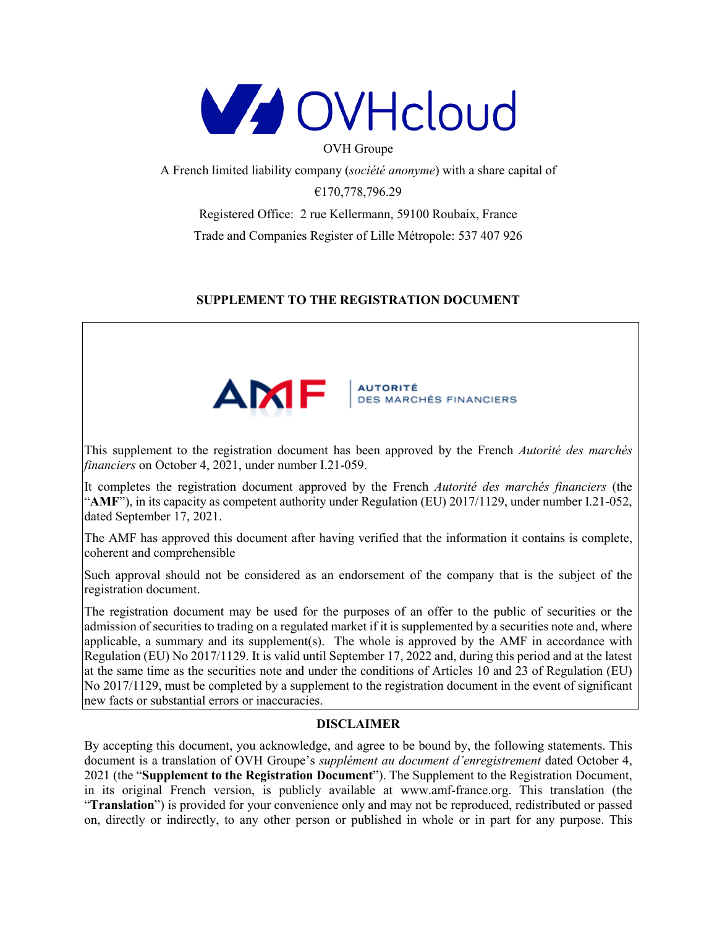

OVH Groupe

A French limited liability company (*société anonyme*) with a share capital of

€170,778,796.29

Registered Office: 2 rue Kellermann, 59100 Roubaix, France Trade and Companies Register of Lille Métropole: 537 407 926

## **SUPPLEMENT TO THE REGISTRATION DOCUMENT**



This supplement to the registration document has been approved by the French *Autorité des marchés financiers* on October 4, 2021, under number I.21-059.

It completes the registration document approved by the French *Autorité des marchés financiers* (the "**AMF**"), in its capacity as competent authority under Regulation (EU) 2017/1129, under number I.21-052, dated September 17, 2021.

The AMF has approved this document after having verified that the information it contains is complete, coherent and comprehensible

Such approval should not be considered as an endorsement of the company that is the subject of the registration document.

The registration document may be used for the purposes of an offer to the public of securities or the admission of securities to trading on a regulated market if it is supplemented by a securities note and, where applicable, a summary and its supplement(s). The whole is approved by the  $AMF$  in accordance with Regulation (EU) No 2017/1129. It is valid until September 17, 2022 and, during this period and at the latest at the same time as the securities note and under the conditions of Articles 10 and 23 of Regulation (EU) No 2017/1129, must be completed by a supplement to the registration document in the event of significant new facts or substantial errors or inaccuracies.

## **DISCLAIMER**

By accepting this document, you acknowledge, and agree to be bound by, the following statements. This document is a translation of OVH Groupe's *supplément au document d'enregistrement* dated October 4, 2021 (the "**Supplement to the Registration Document**"). The Supplement to the Registration Document, in its original French version, is publicly available at www.amf-france.org. This translation (the "**Translation**") is provided for your convenience only and may not be reproduced, redistributed or passed on, directly or indirectly, to any other person or published in whole or in part for any purpose. This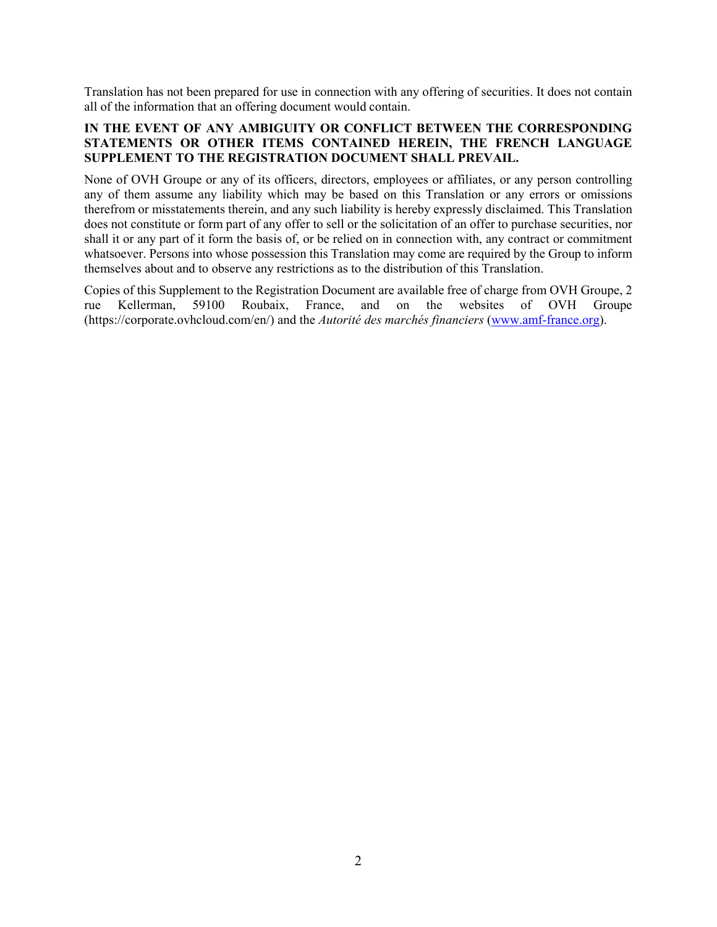Translation has not been prepared for use in connection with any offering of securities. It does not contain all of the information that an offering document would contain.

### **IN THE EVENT OF ANY AMBIGUITY OR CONFLICT BETWEEN THE CORRESPONDING STATEMENTS OR OTHER ITEMS CONTAINED HEREIN, THE FRENCH LANGUAGE SUPPLEMENT TO THE REGISTRATION DOCUMENT SHALL PREVAIL.**

None of OVH Groupe or any of its officers, directors, employees or affiliates, or any person controlling any of them assume any liability which may be based on this Translation or any errors or omissions therefrom or misstatements therein, and any such liability is hereby expressly disclaimed. This Translation does not constitute or form part of any offer to sell or the solicitation of an offer to purchase securities, nor shall it or any part of it form the basis of, or be relied on in connection with, any contract or commitment whatsoever. Persons into whose possession this Translation may come are required by the Group to inform themselves about and to observe any restrictions as to the distribution of this Translation.

Copies of this Supplement to the Registration Document are available free of charge from OVH Groupe, 2 rue Kellerman, 59100 Roubaix, France, and on the websites of OVH Groupe (https://corporate.ovhcloud.com/en/) and the *Autorité des marchés financiers* [\(www.amf-france.org](http://www.amf-france.org/)).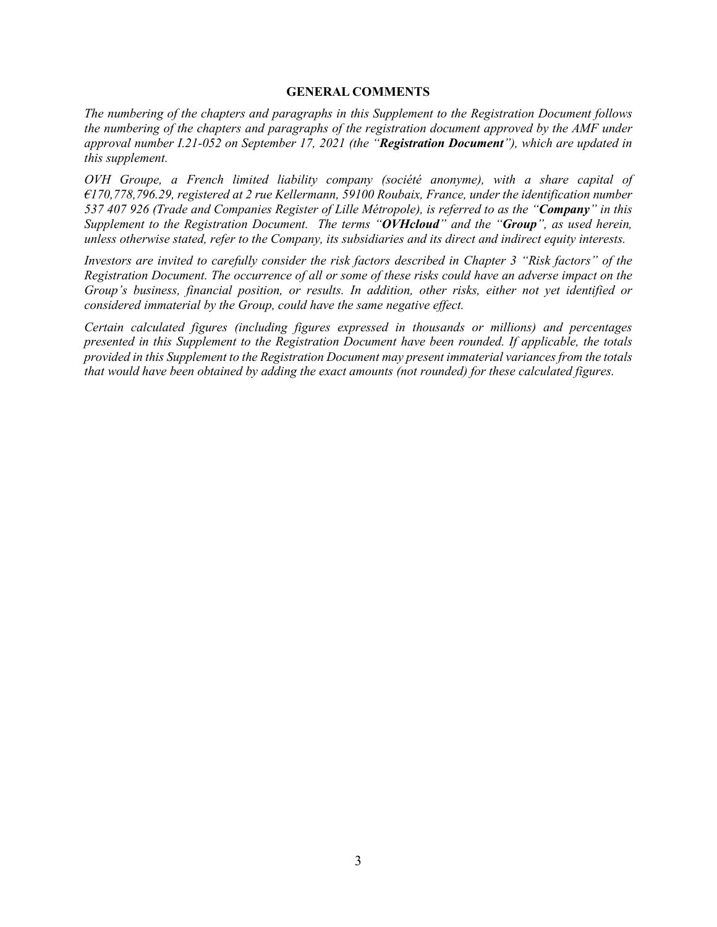#### **GENERAL COMMENTS**

*The numbering of the chapters and paragraphs in this Supplement to the Registration Document follows the numbering of the chapters and paragraphs of the registration document approved by the AMF under approval number I.21-052 on September 17, 2021 (the "Registration Document"), which are updated in this supplement.*

*OVH Groupe, a French limited liability company (société anonyme), with a share capital of €170,778,796.29, registered at 2 rue Kellermann, 59100 Roubaix, France, under the identification number 537 407 926 (Trade and Companies Register of Lille Métropole), is referred to as the "Company" in this Supplement to the Registration Document. The terms "OVHcloud" and the "Group", as used herein, unless otherwise stated, refer to the Company, its subsidiaries and its direct and indirect equity interests.*

*Investors are invited to carefully consider the risk factors described in Chapter 3 "Risk factors" of the Registration Document. The occurrence of all or some of these risks could have an adverse impact on the Group's business, financial position, or results. In addition, other risks, either not yet identified or considered immaterial by the Group, could have the same negative effect.*

*Certain calculated figures (including figures expressed in thousands or millions) and percentages presented in this Supplement to the Registration Document have been rounded. If applicable, the totals provided in this Supplement to the Registration Document may present immaterial variances from the totals that would have been obtained by adding the exact amounts (not rounded) for these calculated figures.*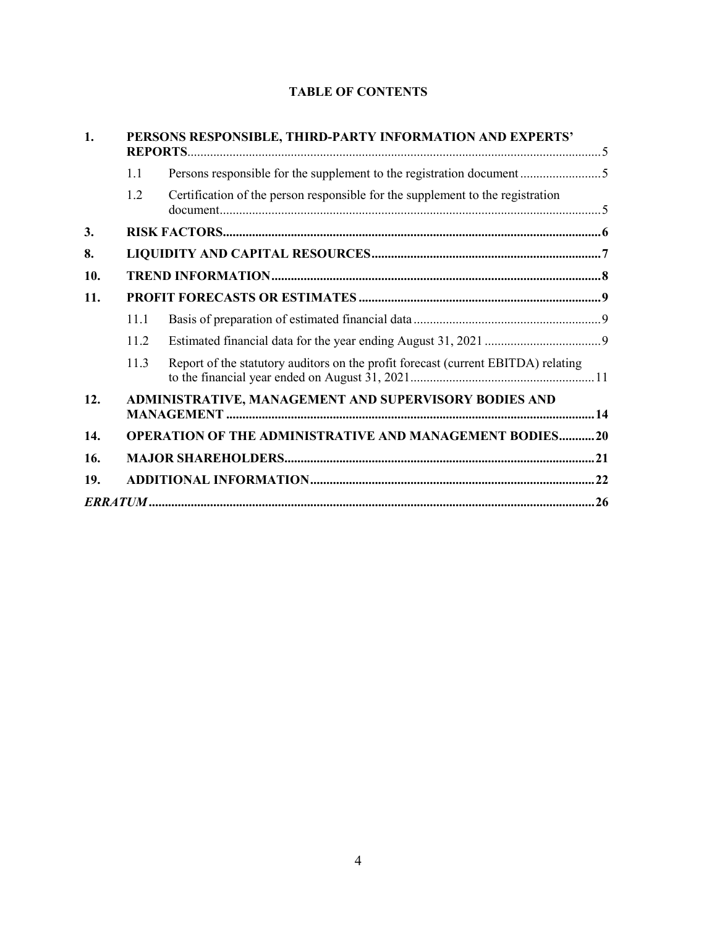# **TABLE OF CONTENTS**

| 1.  | PERSONS RESPONSIBLE, THIRD-PARTY INFORMATION AND EXPERTS'      |                                                                                   |  |  |  |
|-----|----------------------------------------------------------------|-----------------------------------------------------------------------------------|--|--|--|
|     | 1.1                                                            | Persons responsible for the supplement to the registration document               |  |  |  |
|     | 1.2                                                            | Certification of the person responsible for the supplement to the registration    |  |  |  |
| 3.  |                                                                |                                                                                   |  |  |  |
| 8.  |                                                                |                                                                                   |  |  |  |
| 10. |                                                                |                                                                                   |  |  |  |
| 11. |                                                                |                                                                                   |  |  |  |
|     | 11.1                                                           |                                                                                   |  |  |  |
|     | 11.2                                                           |                                                                                   |  |  |  |
|     | 11.3                                                           | Report of the statutory auditors on the profit forecast (current EBITDA) relating |  |  |  |
| 12. | ADMINISTRATIVE, MANAGEMENT AND SUPERVISORY BODIES AND          |                                                                                   |  |  |  |
| 14. | <b>OPERATION OF THE ADMINISTRATIVE AND MANAGEMENT BODIES20</b> |                                                                                   |  |  |  |
| 16. |                                                                |                                                                                   |  |  |  |
| 19. |                                                                |                                                                                   |  |  |  |
|     |                                                                |                                                                                   |  |  |  |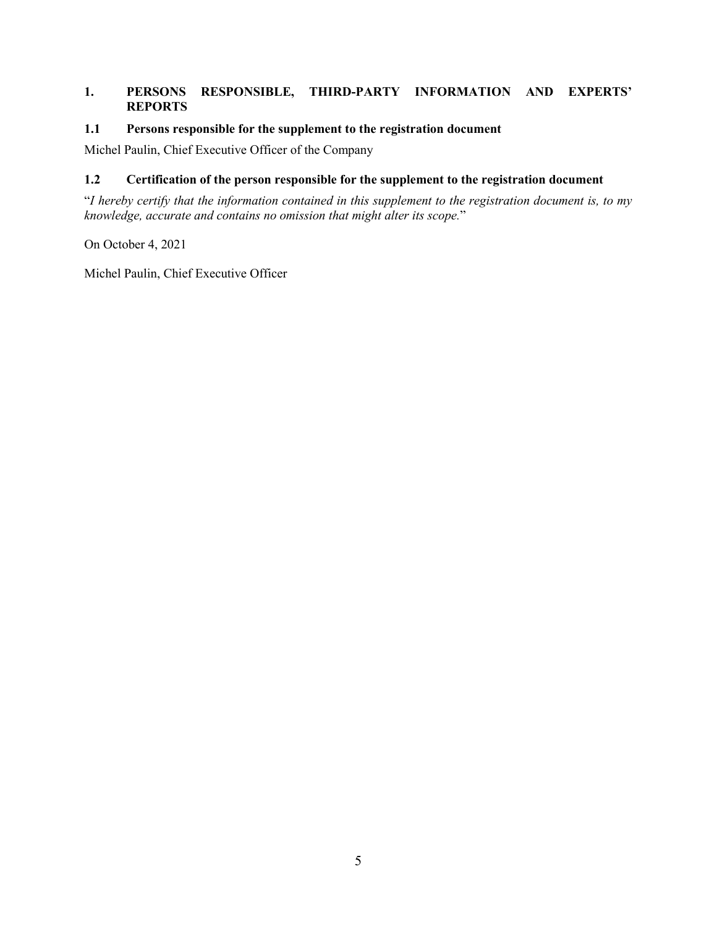### <span id="page-4-0"></span>**1. PERSONS RESPONSIBLE, THIRD-PARTY INFORMATION AND EXPERTS' REPORTS**

#### <span id="page-4-1"></span>**1.1 Persons responsible for the supplement to the registration document**

Michel Paulin, Chief Executive Officer of the Company

#### <span id="page-4-2"></span>**1.2 Certification of the person responsible for the supplement to the registration document**

"*I hereby certify that the information contained in this supplement to the registration document is, to my knowledge, accurate and contains no omission that might alter its scope.*"

On October 4, 2021

Michel Paulin, Chief Executive Officer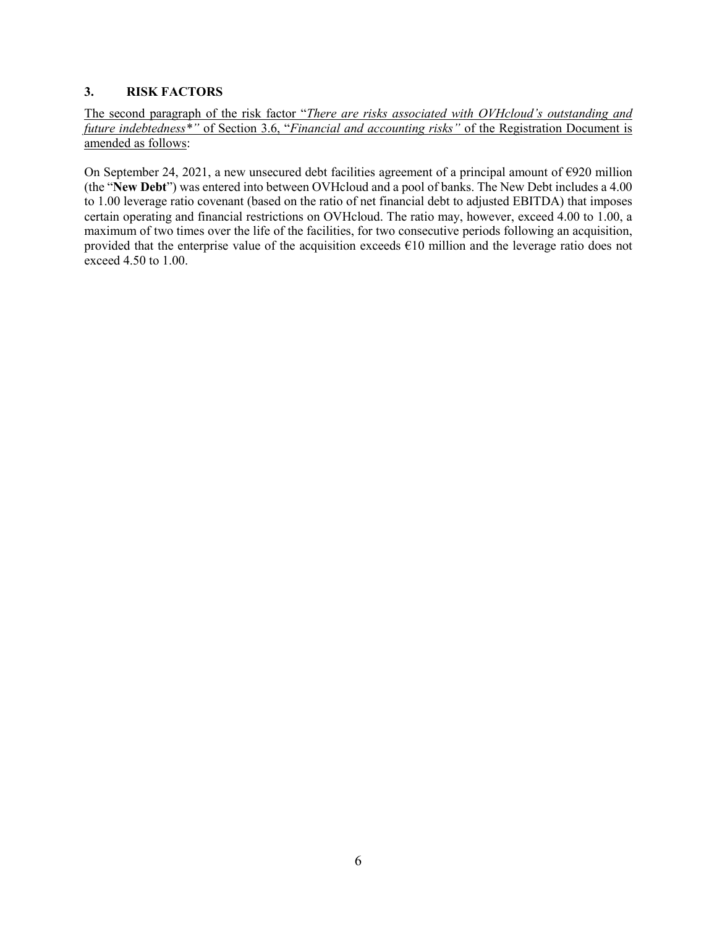### <span id="page-5-0"></span>**3. RISK FACTORS**

The second paragraph of the risk factor "*There are risks associated with OVHcloud's outstanding and future indebtedness\*"* of Section 3.6, "*Financial and accounting risks"* of the Registration Document is amended as follows:

On September 24, 2021, a new unsecured debt facilities agreement of a principal amount of €920 million (the "**New Debt**") was entered into between OVHcloud and a pool of banks. The New Debt includes a 4.00 to 1.00 leverage ratio covenant (based on the ratio of net financial debt to adjusted EBITDA) that imposes certain operating and financial restrictions on OVHcloud. The ratio may, however, exceed 4.00 to 1.00, a maximum of two times over the life of the facilities, for two consecutive periods following an acquisition, provided that the enterprise value of the acquisition exceeds  $\epsilon$ 10 million and the leverage ratio does not exceed 4.50 to 1.00.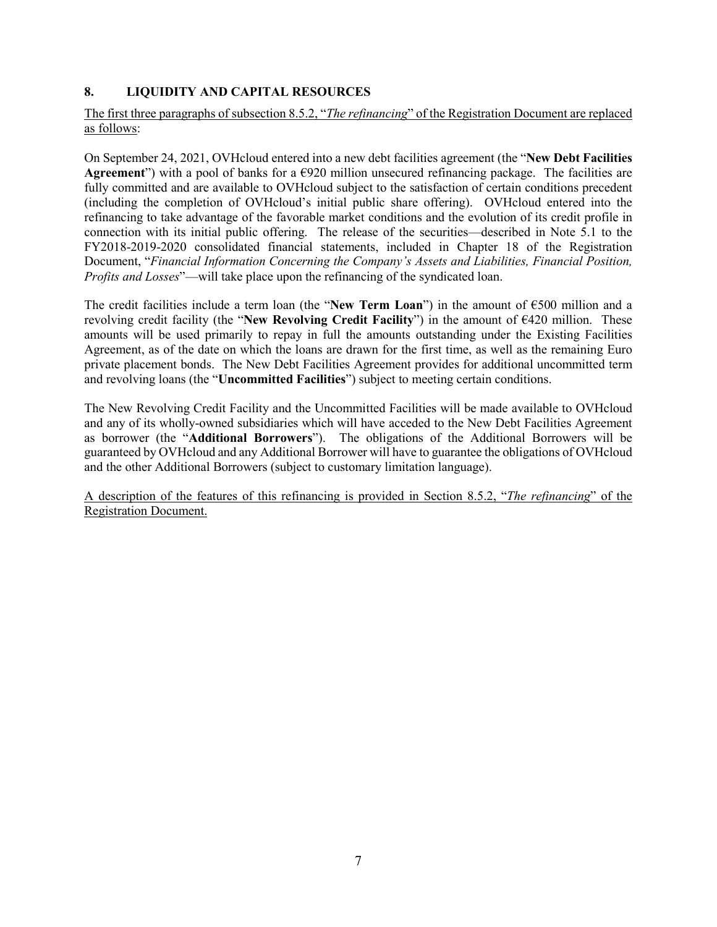## <span id="page-6-0"></span>**8. LIQUIDITY AND CAPITAL RESOURCES**

### The first three paragraphs of subsection 8.5.2, "*The refinancing*" of the Registration Document are replaced as follows:

On September 24, 2021, OVHcloud entered into a new debt facilities agreement (the "**New Debt Facilities Agreement**") with a pool of banks for a  $\epsilon$ 920 million unsecured refinancing package. The facilities are fully committed and are available to OVHcloud subject to the satisfaction of certain conditions precedent (including the completion of OVHcloud's initial public share offering). OVHcloud entered into the refinancing to take advantage of the favorable market conditions and the evolution of its credit profile in connection with its initial public offering. The release of the securities—described in Note 5.1 to the FY2018-2019-2020 consolidated financial statements, included in Chapter 18 of the Registration Document, "*Financial Information Concerning the Company's Assets and Liabilities, Financial Position, Profits and Losses*"—will take place upon the refinancing of the syndicated loan.

The credit facilities include a term loan (the "**New Term Loan**") in the amount of €500 million and a revolving credit facility (the "**New Revolving Credit Facility**") in the amount of €420 million. These amounts will be used primarily to repay in full the amounts outstanding under the Existing Facilities Agreement, as of the date on which the loans are drawn for the first time, as well as the remaining Euro private placement bonds. The New Debt Facilities Agreement provides for additional uncommitted term and revolving loans (the "**Uncommitted Facilities**") subject to meeting certain conditions.

The New Revolving Credit Facility and the Uncommitted Facilities will be made available to OVHcloud and any of its wholly-owned subsidiaries which will have acceded to the New Debt Facilities Agreement as borrower (the "**Additional Borrowers**"). The obligations of the Additional Borrowers will be guaranteed by OVHcloud and any Additional Borrower will have to guarantee the obligations of OVHcloud and the other Additional Borrowers (subject to customary limitation language).

A description of the features of this refinancing is provided in Section 8.5.2, "*The refinancing*" of the Registration Document.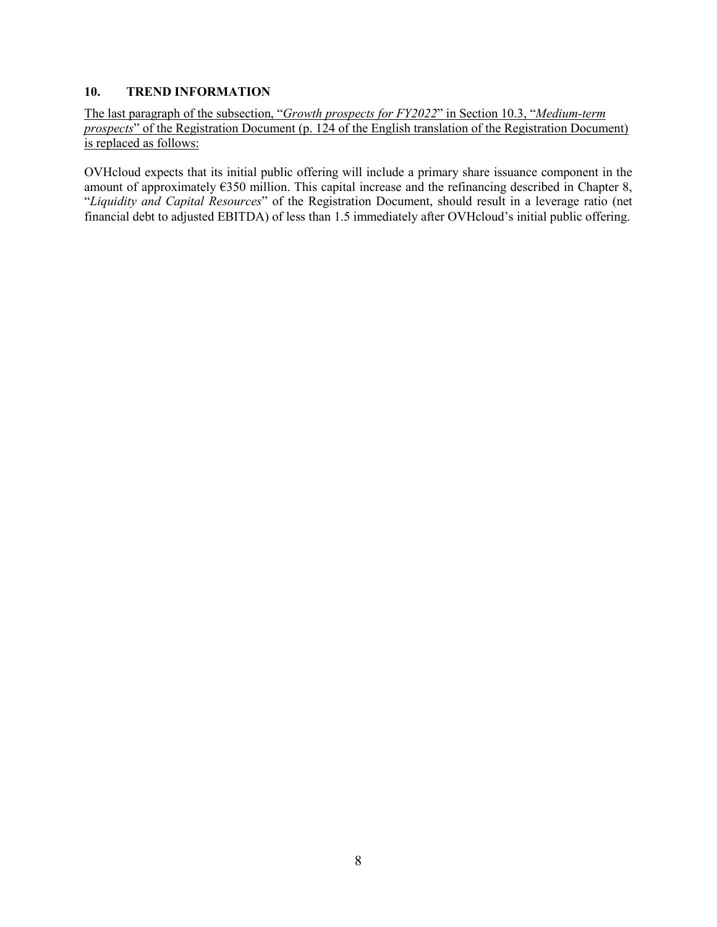### <span id="page-7-0"></span>**10. TREND INFORMATION**

The last paragraph of the subsection, "*Growth prospects for FY2022*" in Section 10.3, "*Medium-term prospects*" of the Registration Document (p. 124 of the English translation of the Registration Document) is replaced as follows:

OVHcloud expects that its initial public offering will include a primary share issuance component in the amount of approximately €350 million. This capital increase and the refinancing described in Chapter 8, "*Liquidity and Capital Resources*" of the Registration Document, should result in a leverage ratio (net financial debt to adjusted EBITDA) of less than 1.5 immediately after OVHcloud's initial public offering.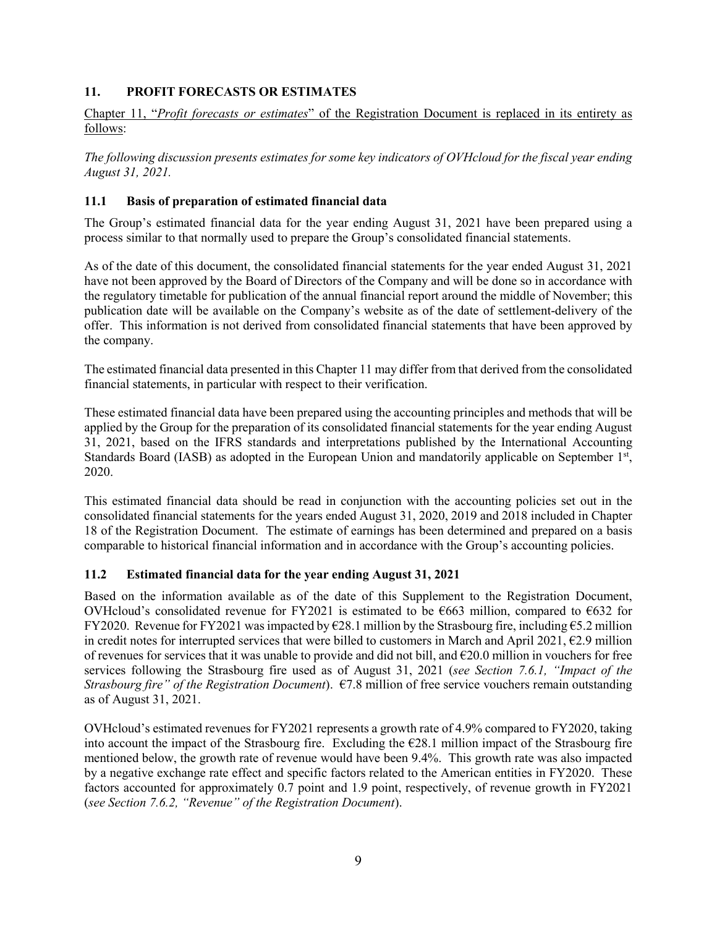### <span id="page-8-0"></span>**11. PROFIT FORECASTS OR ESTIMATES**

Chapter 11, "*Profit forecasts or estimates*" of the Registration Document is replaced in its entirety as follows:

*The following discussion presents estimates for some key indicators of OVHcloud for the fiscal year ending August 31, 2021.*

### <span id="page-8-1"></span>**11.1 Basis of preparation of estimated financial data**

The Group's estimated financial data for the year ending August 31, 2021 have been prepared using a process similar to that normally used to prepare the Group's consolidated financial statements.

As of the date of this document, the consolidated financial statements for the year ended August 31, 2021 have not been approved by the Board of Directors of the Company and will be done so in accordance with the regulatory timetable for publication of the annual financial report around the middle of November; this publication date will be available on the Company's website as of the date of settlement-delivery of the offer. This information is not derived from consolidated financial statements that have been approved by the company.

The estimated financial data presented in this Chapter 11 may differ from that derived from the consolidated financial statements, in particular with respect to their verification.

These estimated financial data have been prepared using the accounting principles and methods that will be applied by the Group for the preparation of its consolidated financial statements for the year ending August 31, 2021, based on the IFRS standards and interpretations published by the International Accounting Standards Board (IASB) as adopted in the European Union and mandatorily applicable on September 1st, 2020.

This estimated financial data should be read in conjunction with the accounting policies set out in the consolidated financial statements for the years ended August 31, 2020, 2019 and 2018 included in Chapter 18 of the Registration Document. The estimate of earnings has been determined and prepared on a basis comparable to historical financial information and in accordance with the Group's accounting policies.

#### <span id="page-8-2"></span>**11.2 Estimated financial data for the year ending August 31, 2021**

Based on the information available as of the date of this Supplement to the Registration Document, OVHcloud's consolidated revenue for FY2021 is estimated to be  $\epsilon$ 663 million, compared to  $\epsilon$ 632 for FY2020. Revenue for FY2021 was impacted by €28.1 million by the Strasbourg fire, including €5.2 million in credit notes for interrupted services that were billed to customers in March and April 2021,  $\epsilon$ 2.9 million of revenues for services that it was unable to provide and did not bill, and €20.0 million in vouchers for free services following the Strasbourg fire used as of August 31, 2021 (*see Section 7.6.1, "Impact of the Strasbourg fire" of the Registration Document*). €7.8 million of free service vouchers remain outstanding as of August 31, 2021.

OVHcloud's estimated revenues for FY2021 represents a growth rate of 4.9% compared to FY2020, taking into account the impact of the Strasbourg fire. Excluding the  $E28.1$  million impact of the Strasbourg fire mentioned below, the growth rate of revenue would have been 9.4%. This growth rate was also impacted by a negative exchange rate effect and specific factors related to the American entities in FY2020. These factors accounted for approximately 0.7 point and 1.9 point, respectively, of revenue growth in FY2021 (*see Section 7.6.2, "Revenue" of the Registration Document*).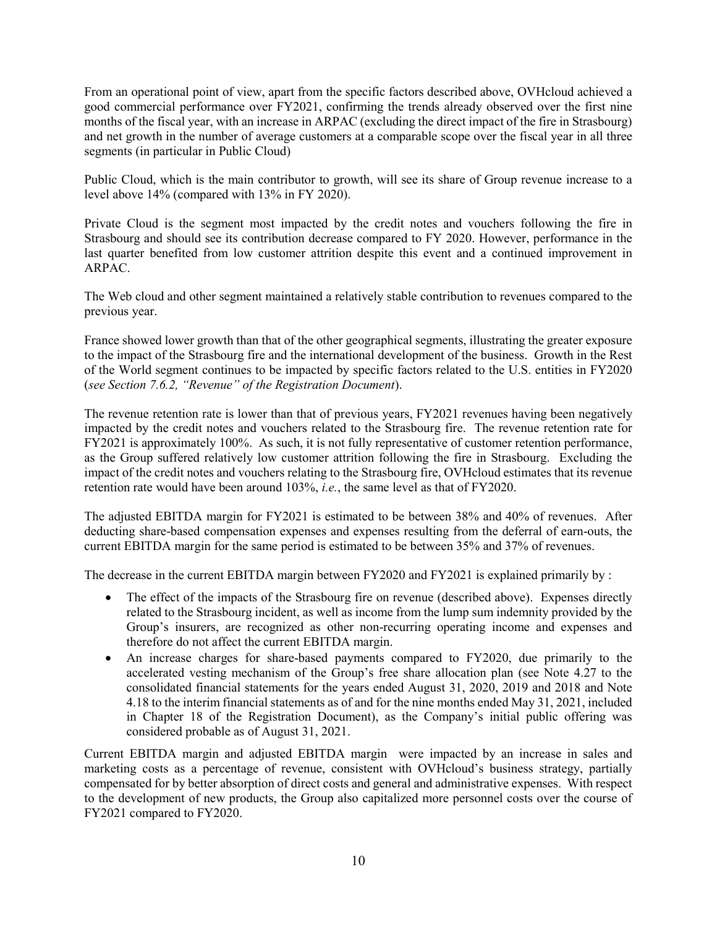From an operational point of view, apart from the specific factors described above, OVHcloud achieved a good commercial performance over FY2021, confirming the trends already observed over the first nine months of the fiscal year, with an increase in ARPAC (excluding the direct impact of the fire in Strasbourg) and net growth in the number of average customers at a comparable scope over the fiscal year in all three segments (in particular in Public Cloud)

Public Cloud, which is the main contributor to growth, will see its share of Group revenue increase to a level above 14% (compared with 13% in FY 2020).

Private Cloud is the segment most impacted by the credit notes and vouchers following the fire in Strasbourg and should see its contribution decrease compared to FY 2020. However, performance in the last quarter benefited from low customer attrition despite this event and a continued improvement in ARPAC.

The Web cloud and other segment maintained a relatively stable contribution to revenues compared to the previous year.

France showed lower growth than that of the other geographical segments, illustrating the greater exposure to the impact of the Strasbourg fire and the international development of the business. Growth in the Rest of the World segment continues to be impacted by specific factors related to the U.S. entities in FY2020 (*see Section 7.6.2, "Revenue" of the Registration Document*).

The revenue retention rate is lower than that of previous years, FY2021 revenues having been negatively impacted by the credit notes and vouchers related to the Strasbourg fire. The revenue retention rate for FY2021 is approximately 100%. As such, it is not fully representative of customer retention performance, as the Group suffered relatively low customer attrition following the fire in Strasbourg. Excluding the impact of the credit notes and vouchers relating to the Strasbourg fire, OVHcloud estimates that its revenue retention rate would have been around 103%, *i.e.*, the same level as that of FY2020.

The adjusted EBITDA margin for FY2021 is estimated to be between 38% and 40% of revenues. After deducting share-based compensation expenses and expenses resulting from the deferral of earn-outs, the current EBITDA margin for the same period is estimated to be between 35% and 37% of revenues.

The decrease in the current EBITDA margin between FY2020 and FY2021 is explained primarily by :

- The effect of the impacts of the Strasbourg fire on revenue (described above). Expenses directly related to the Strasbourg incident, as well as income from the lump sum indemnity provided by the Group's insurers, are recognized as other non-recurring operating income and expenses and therefore do not affect the current EBITDA margin.
- An increase charges for share-based payments compared to FY2020, due primarily to the accelerated vesting mechanism of the Group's free share allocation plan (see Note 4.27 to the consolidated financial statements for the years ended August 31, 2020, 2019 and 2018 and Note 4.18 to the interim financial statements as of and for the nine months ended May 31, 2021, included in Chapter 18 of the Registration Document), as the Company's initial public offering was considered probable as of August 31, 2021.

Current EBITDA margin and adjusted EBITDA margin were impacted by an increase in sales and marketing costs as a percentage of revenue, consistent with OVHcloud's business strategy, partially compensated for by better absorption of direct costs and general and administrative expenses. With respect to the development of new products, the Group also capitalized more personnel costs over the course of FY2021 compared to FY2020.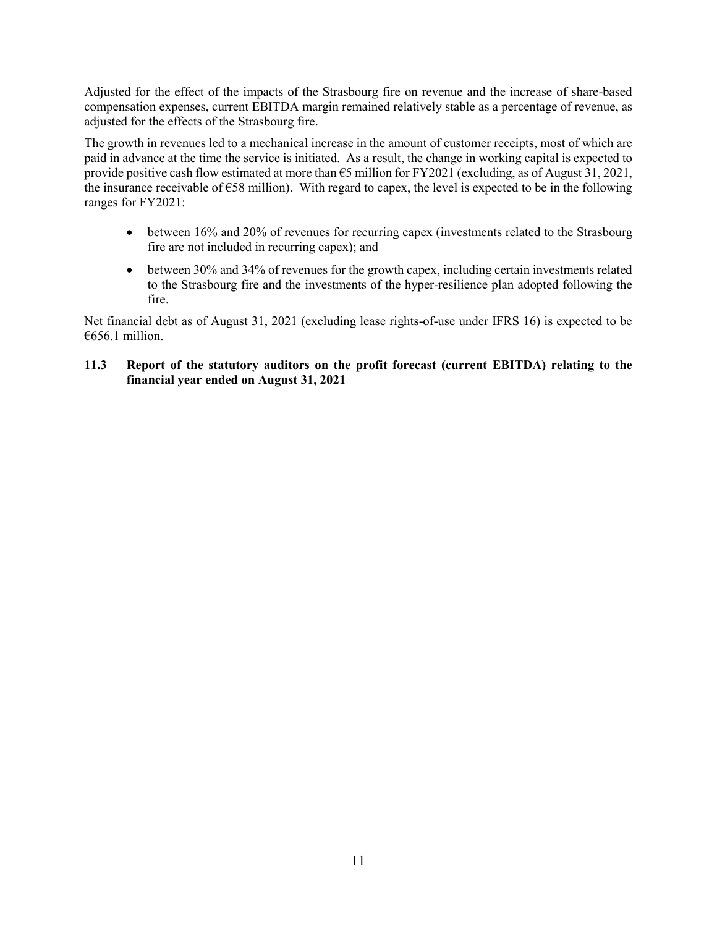Adjusted for the effect of the impacts of the Strasbourg fire on revenue and the increase of share-based compensation expenses, current EBITDA margin remained relatively stable as a percentage of revenue, as adjusted for the effects of the Strasbourg fire.

The growth in revenues led to a mechanical increase in the amount of customer receipts, most of which are paid in advance at the time the service is initiated. As a result, the change in working capital is expected to provide positive cash flow estimated at more than €5 million for FY2021 (excluding, as of August 31, 2021, the insurance receivable of  $\epsilon$ 58 million). With regard to capex, the level is expected to be in the following ranges for FY2021:

- between 16% and 20% of revenues for recurring capex (investments related to the Strasbourg fire are not included in recurring capex); and
- between 30% and 34% of revenues for the growth capex, including certain investments related to the Strasbourg fire and the investments of the hyper-resilience plan adopted following the fire.

Net financial debt as of August 31, 2021 (excluding lease rights-of-use under IFRS 16) is expected to be €656.1 million.

### <span id="page-10-0"></span>**11.3 Report of the statutory auditors on the profit forecast (current EBITDA) relating to the financial year ended on August 31, 2021**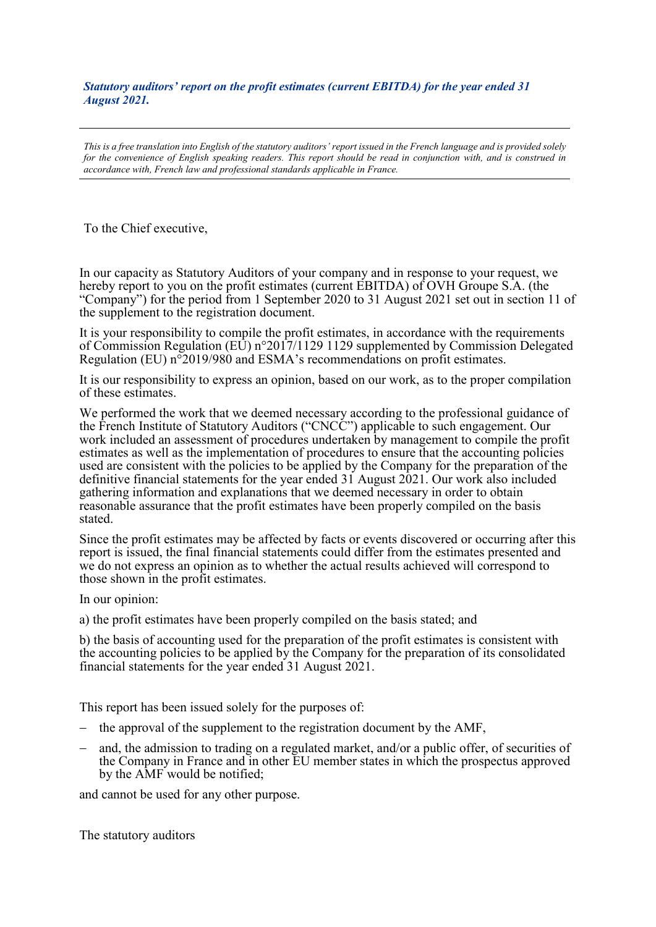*Statutory auditors' report on the profit estimates (current EBITDA) for the year ended 31 August 2021.*

*This is a free translation into English of the statutory auditors' report issued in the French language and is provided solely for the convenience of English speaking readers. This report should be read in conjunction with, and is construed in accordance with, French law and professional standards applicable in France.*

To the Chief executive,

In our capacity as Statutory Auditors of your company and in response to your request, we hereby report to you on the profit estimates (current EBITDA) of OVH Groupe S.A. (the "Company") for the period from 1 September 2020 to 31 August 2021 set out in section 11 of the supplement to the registration document.

It is your responsibility to compile the profit estimates, in accordance with the requirements of Commission Regulation (EU) n°2017/1129 1129 supplemented by Commission Delegated Regulation (EU) n°2019/980 and ESMA's recommendations on profit estimates.

It is our responsibility to express an opinion, based on our work, as to the proper compilation of these estimates.

We performed the work that we deemed necessary according to the professional guidance of the French Institute of Statutory Auditors ("CNCC") applicable to such engagement. Our work included an assessment of procedures undertaken by management to compile the profit estimates as well as the implementation of procedures to ensure that the accounting policies used are consistent with the policies to be applied by the Company for the preparation of the definitive financial statements for the year ended 31 August 2021. Our work also included gathering information and explanations that we deemed necessary in order to obtain reasonable assurance that the profit estimates have been properly compiled on the basis stated.

Since the profit estimates may be affected by facts or events discovered or occurring after this report is issued, the final financial statements could differ from the estimates presented and we do not express an opinion as to whether the actual results achieved will correspond to those shown in the profit estimates.

In our opinion:

a) the profit estimates have been properly compiled on the basis stated; and

b) the basis of accounting used for the preparation of the profit estimates is consistent with the accounting policies to be applied by the Company for the preparation of its consolidated financial statements for the year ended 31 August 2021.

This report has been issued solely for the purposes of:

- − the approval of the supplement to the registration document by the AMF,
- and, the admission to trading on a regulated market, and/or a public offer, of securities of the Company in France and in other EU member states in which the prospectus approved by the AMF would be notified;

and cannot be used for any other purpose.

The statutory auditors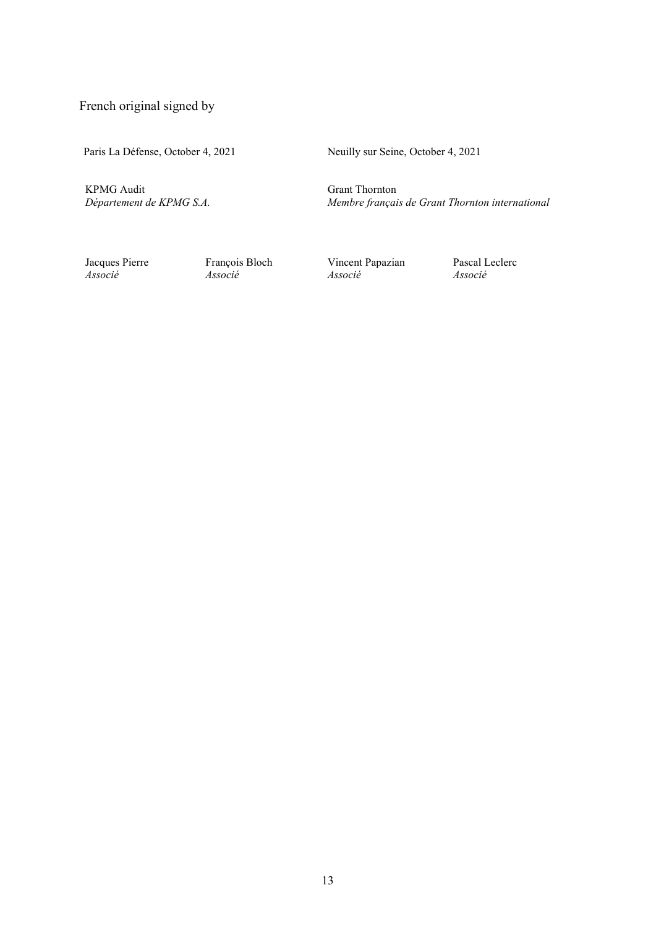French original signed by

Paris La Défense, October 4, 2021

Neuilly sur Seine, October 4, 2021

KPMG Audit<br>Département de KPMG S.A.

Grant Thornton *Département de KPMG S.A. Membre français de Grant Thornton international*

Jacques Pierre François Bloch Vincent Papazian Pascal Leclerc<br>
Associé Associé Associé Associé *Associé Associé Associé Associé*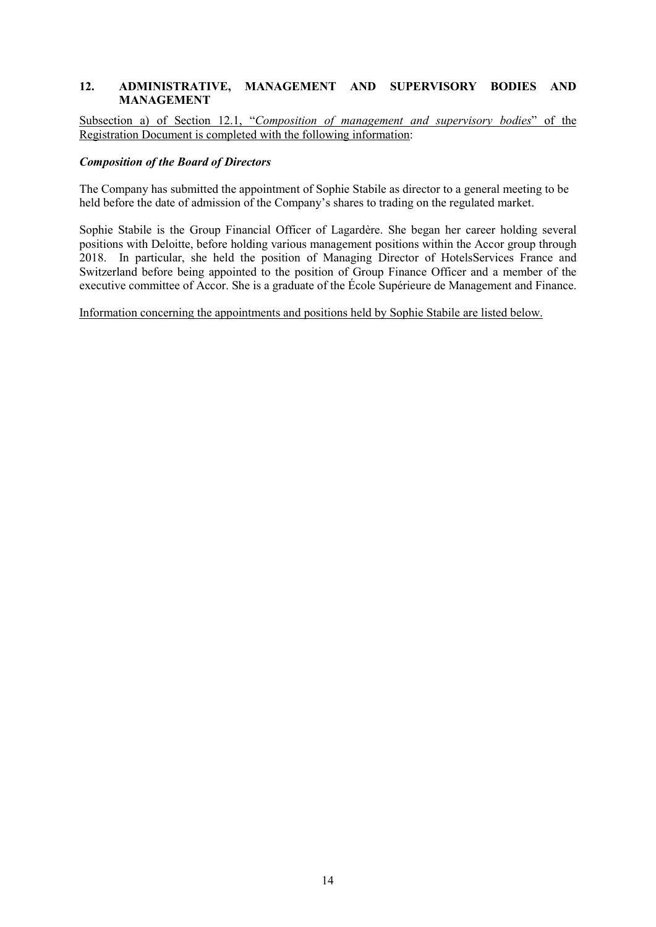### <span id="page-13-0"></span>**12. ADMINISTRATIVE, MANAGEMENT AND SUPERVISORY BODIES AND MANAGEMENT**

Subsection a) of Section 12.1, "*Composition of management and supervisory bodies*" of the Registration Document is completed with the following information:

#### *Composition of the Board of Directors*

The Company has submitted the appointment of Sophie Stabile as director to a general meeting to be held before the date of admission of the Company's shares to trading on the regulated market.

Sophie Stabile is the Group Financial Officer of Lagardère. She began her career holding several positions with Deloitte, before holding various management positions within the Accor group through 2018. In particular, she held the position of Managing Director of HotelsServices France and Switzerland before being appointed to the position of Group Finance Officer and a member of the executive committee of Accor. She is a graduate of the École Supérieure de Management and Finance.

Information concerning the appointments and positions held by Sophie Stabile are listed below.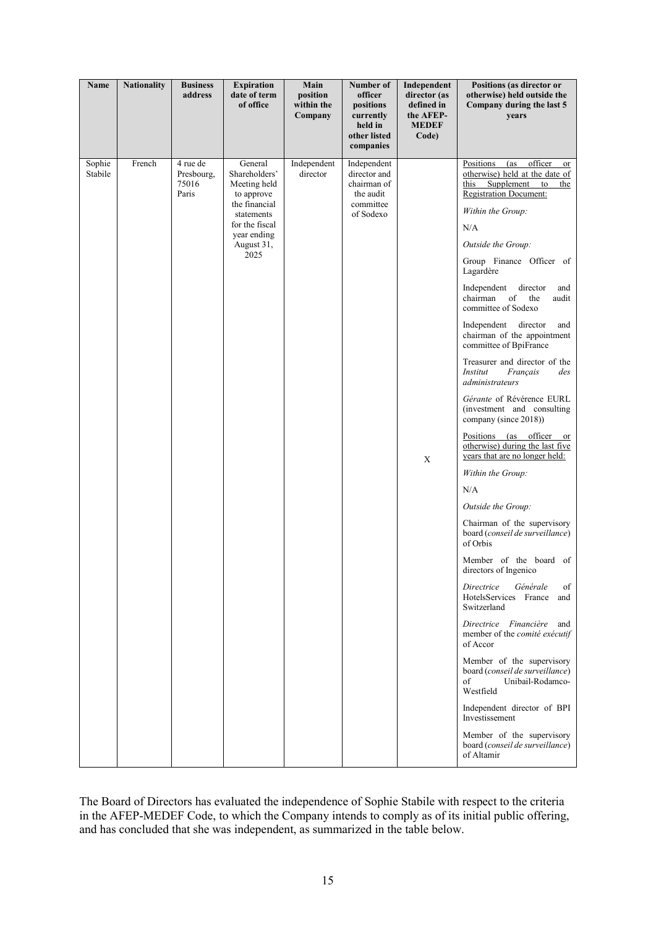| Name              | <b>Nationality</b> | <b>Business</b><br>address               | <b>Expiration</b><br>date of term<br>of office                                                                                               | Main<br>position<br>within the<br>Company | Number of<br>officer<br>positions<br>currently<br>held in<br>other listed<br>companies | Independent<br>director (as<br>defined in<br>the AFEP-<br><b>MEDEF</b><br>Code) | Positions (as director or<br>otherwise) held outside the<br>Company during the last 5<br>years                                                                                                                                                                                                                                                                                                                                                                                                                                                                                                                                                                                                                                                                                                                                                                                                                                                                                                                                                                                                                                                                                           |
|-------------------|--------------------|------------------------------------------|----------------------------------------------------------------------------------------------------------------------------------------------|-------------------------------------------|----------------------------------------------------------------------------------------|---------------------------------------------------------------------------------|------------------------------------------------------------------------------------------------------------------------------------------------------------------------------------------------------------------------------------------------------------------------------------------------------------------------------------------------------------------------------------------------------------------------------------------------------------------------------------------------------------------------------------------------------------------------------------------------------------------------------------------------------------------------------------------------------------------------------------------------------------------------------------------------------------------------------------------------------------------------------------------------------------------------------------------------------------------------------------------------------------------------------------------------------------------------------------------------------------------------------------------------------------------------------------------|
| Sophie<br>Stabile | French             | 4 rue de<br>Presbourg,<br>75016<br>Paris | General<br>Shareholders'<br>Meeting held<br>to approve<br>the financial<br>statements<br>for the fiscal<br>year ending<br>August 31,<br>2025 | Independent<br>director                   | Independent<br>director and<br>chairman of<br>the audit<br>committee<br>of Sodexo      | $\mathbf X$                                                                     | (as officer<br>Positions<br>or<br>otherwise) held at the date of<br>this Supplement to<br>the<br><b>Registration Document:</b><br>Within the Group:<br>N/A<br>Outside the Group:<br>Group Finance Officer of<br>Lagardère<br>director<br>Independent<br>and<br>of<br>chairman<br>the<br>audit<br>committee of Sodexo<br>Independent director<br>and<br>chairman of the appointment<br>committee of BpiFrance<br>Treasurer and director of the<br>Institut<br>Français<br>des<br>administrateurs<br>Gérante of Révérence EURL<br>(investment and consulting<br>company (since 2018))<br>Positions (as officer or<br>otherwise) during the last five<br>years that are no longer held:<br>Within the Group:<br>N/A<br>Outside the Group:<br>Chairman of the supervisory<br>board (conseil de surveillance)<br>of Orbis<br>Member of the board of<br>directors of Ingenico<br>of<br>Directrice<br>Générale<br>HotelsServices France<br>and<br>Switzerland<br>Directrice Financière and<br>member of the comité exécutif<br>of Accor<br>Member of the supervisory<br>board (conseil de surveillance)<br>of<br>Unibail-Rodamco-<br>Westfield<br>Independent director of BPI<br>Investissement |
|                   |                    |                                          |                                                                                                                                              |                                           |                                                                                        |                                                                                 | Member of the supervisory<br>board (conseil de surveillance)<br>of Altamir                                                                                                                                                                                                                                                                                                                                                                                                                                                                                                                                                                                                                                                                                                                                                                                                                                                                                                                                                                                                                                                                                                               |

The Board of Directors has evaluated the independence of Sophie Stabile with respect to the criteria in the AFEP-MEDEF Code, to which the Company intends to comply as of its initial public offering, and has concluded that she was independent, as summarized in the table below.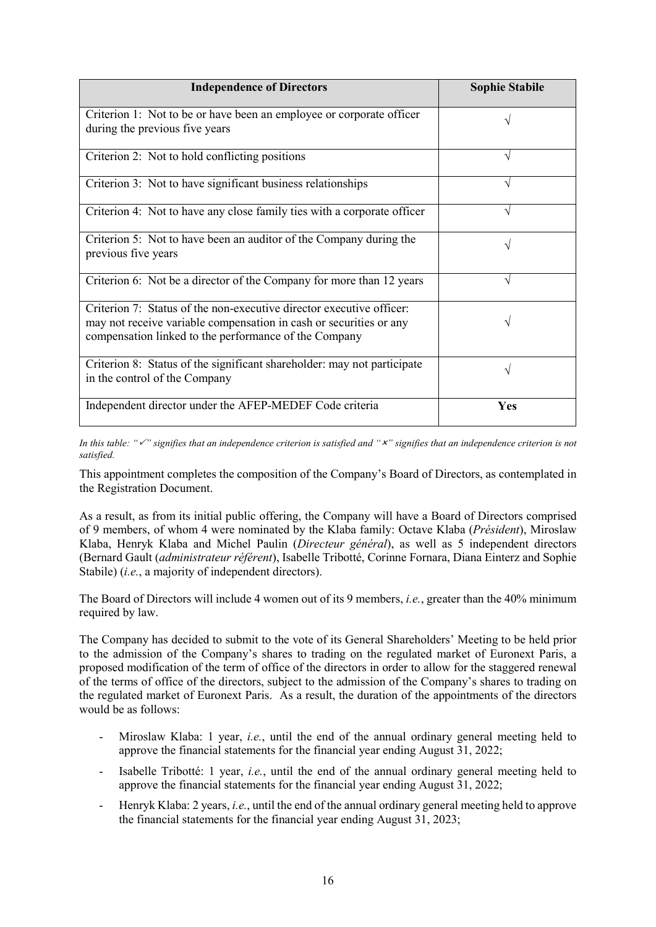| <b>Independence of Directors</b>                                                                                                                                                                    | <b>Sophie Stabile</b> |
|-----------------------------------------------------------------------------------------------------------------------------------------------------------------------------------------------------|-----------------------|
| Criterion 1: Not to be or have been an employee or corporate officer<br>during the previous five years                                                                                              |                       |
| Criterion 2: Not to hold conflicting positions                                                                                                                                                      | V                     |
| Criterion 3: Not to have significant business relationships                                                                                                                                         | V                     |
| Criterion 4: Not to have any close family ties with a corporate officer                                                                                                                             | N                     |
| Criterion 5: Not to have been an auditor of the Company during the<br>previous five years                                                                                                           | N                     |
| Criterion 6: Not be a director of the Company for more than 12 years                                                                                                                                |                       |
| Criterion 7: Status of the non-executive director executive officer:<br>may not receive variable compensation in cash or securities or any<br>compensation linked to the performance of the Company |                       |
| Criterion 8: Status of the significant shareholder: may not participate<br>in the control of the Company                                                                                            | ٦                     |
| Independent director under the AFEP-MEDEF Code criteria                                                                                                                                             | Yes                   |

*In this table: "" signifies that an independence criterion is satisfied and "" signifies that an independence criterion is not satisfied.* 

This appointment completes the composition of the Company's Board of Directors, as contemplated in the Registration Document.

As a result, as from its initial public offering, the Company will have a Board of Directors comprised of 9 members, of whom 4 were nominated by the Klaba family: Octave Klaba (*Président*), Miroslaw Klaba, Henryk Klaba and Michel Paulin (*Directeur général*), as well as 5 independent directors (Bernard Gault (*administrateur référent*), Isabelle Tribotté, Corinne Fornara, Diana Einterz and Sophie Stabile) (*i.e.*, a majority of independent directors).

The Board of Directors will include 4 women out of its 9 members, *i.e.*, greater than the 40% minimum required by law.

The Company has decided to submit to the vote of its General Shareholders' Meeting to be held prior to the admission of the Company's shares to trading on the regulated market of Euronext Paris, a proposed modification of the term of office of the directors in order to allow for the staggered renewal of the terms of office of the directors, subject to the admission of the Company's shares to trading on the regulated market of Euronext Paris. As a result, the duration of the appointments of the directors would be as follows:

- Miroslaw Klaba: 1 year, *i.e.*, until the end of the annual ordinary general meeting held to approve the financial statements for the financial year ending August 31, 2022;
- Isabelle Tribotté: 1 year, *i.e.*, until the end of the annual ordinary general meeting held to approve the financial statements for the financial year ending August 31, 2022;
- Henryk Klaba: 2 years, *i.e.*, until the end of the annual ordinary general meeting held to approve the financial statements for the financial year ending August 31, 2023;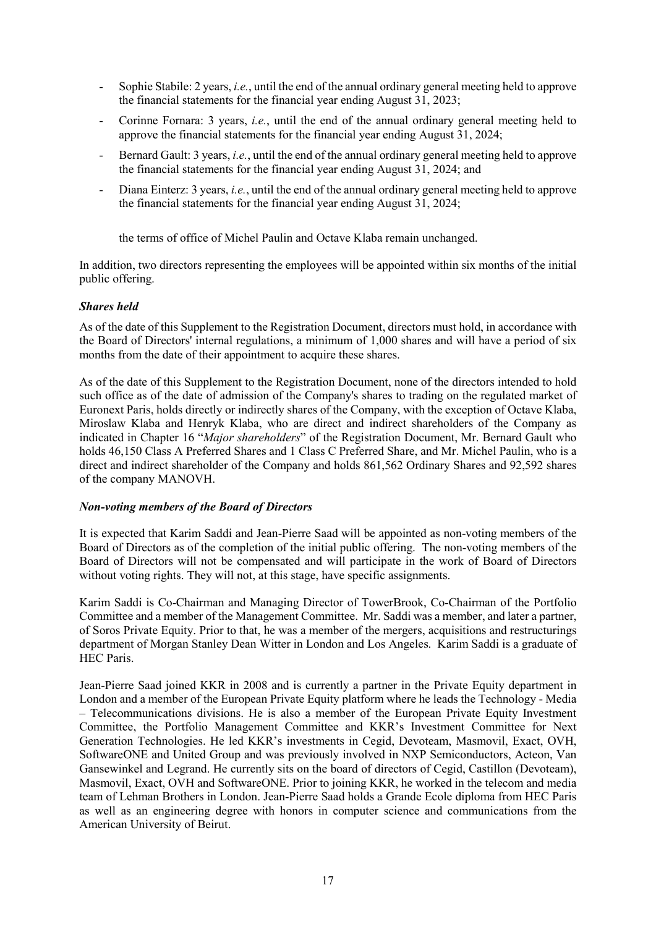- Sophie Stabile: 2 years, *i.e.*, until the end of the annual ordinary general meeting held to approve the financial statements for the financial year ending August 31, 2023;
- Corinne Fornara: 3 years, *i.e.*, until the end of the annual ordinary general meeting held to approve the financial statements for the financial year ending August 31, 2024;
- Bernard Gault: 3 years, *i.e.*, until the end of the annual ordinary general meeting held to approve the financial statements for the financial year ending August 31, 2024; and
- Diana Einterz: 3 years, *i.e.*, until the end of the annual ordinary general meeting held to approve the financial statements for the financial year ending August 31, 2024;

the terms of office of Michel Paulin and Octave Klaba remain unchanged.

In addition, two directors representing the employees will be appointed within six months of the initial public offering.

### *Shares held*

As of the date of this Supplement to the Registration Document, directors must hold, in accordance with the Board of Directors' internal regulations, a minimum of 1,000 shares and will have a period of six months from the date of their appointment to acquire these shares.

As of the date of this Supplement to the Registration Document, none of the directors intended to hold such office as of the date of admission of the Company's shares to trading on the regulated market of Euronext Paris, holds directly or indirectly shares of the Company, with the exception of Octave Klaba, Miroslaw Klaba and Henryk Klaba, who are direct and indirect shareholders of the Company as indicated in Chapter 16 "*Major shareholders*" of the Registration Document, Mr. Bernard Gault who holds 46,150 Class A Preferred Shares and 1 Class C Preferred Share, and Mr. Michel Paulin, who is a direct and indirect shareholder of the Company and holds 861,562 Ordinary Shares and 92,592 shares of the company MANOVH.

#### *Non-voting members of the Board of Directors*

It is expected that Karim Saddi and Jean-Pierre Saad will be appointed as non-voting members of the Board of Directors as of the completion of the initial public offering. The non-voting members of the Board of Directors will not be compensated and will participate in the work of Board of Directors without voting rights. They will not, at this stage, have specific assignments.

Karim Saddi is Co-Chairman and Managing Director of TowerBrook, Co-Chairman of the Portfolio Committee and a member of the Management Committee. Mr. Saddi was a member, and later a partner, of Soros Private Equity. Prior to that, he was a member of the mergers, acquisitions and restructurings department of Morgan Stanley Dean Witter in London and Los Angeles. Karim Saddi is a graduate of HEC Paris.

Jean-Pierre Saad joined KKR in 2008 and is currently a partner in the Private Equity department in London and a member of the European Private Equity platform where he leads the Technology - Media – Telecommunications divisions. He is also a member of the European Private Equity Investment Committee, the Portfolio Management Committee and KKR's Investment Committee for Next Generation Technologies. He led KKR's investments in Cegid, Devoteam, Masmovil, Exact, OVH, SoftwareONE and United Group and was previously involved in NXP Semiconductors, Acteon, Van Gansewinkel and Legrand. He currently sits on the board of directors of Cegid, Castillon (Devoteam), Masmovil, Exact, OVH and SoftwareONE. Prior to joining KKR, he worked in the telecom and media team of Lehman Brothers in London. Jean-Pierre Saad holds a Grande Ecole diploma from HEC Paris as well as an engineering degree with honors in computer science and communications from the American University of Beirut.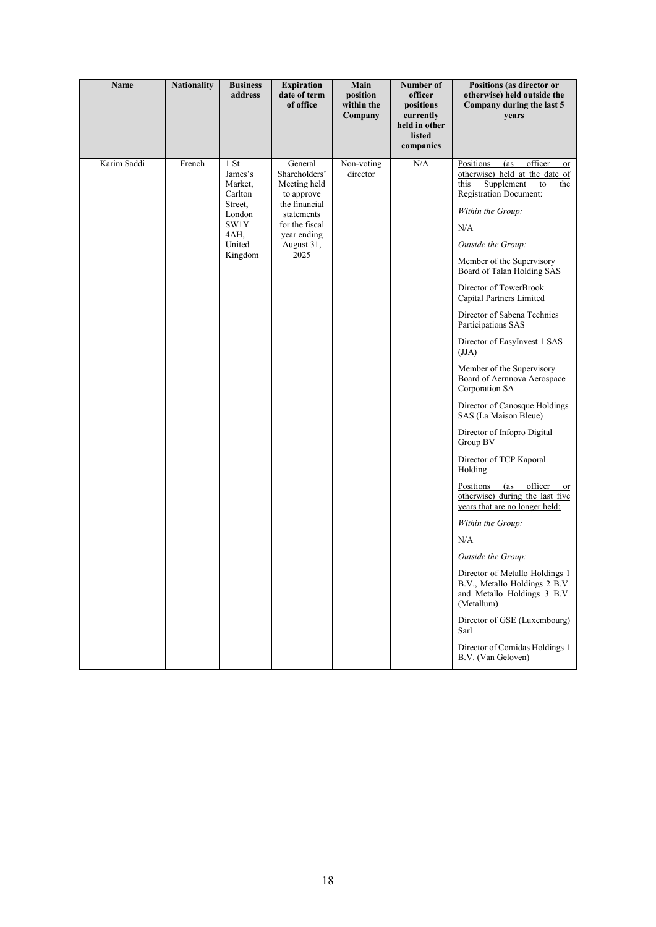| <b>Nationality</b><br><b>Name</b><br><b>Business</b><br><b>Expiration</b><br>Main<br>Number of<br>date of term<br>address<br>position<br>officer<br>of office<br>within the<br>positions<br>Company<br>currently<br>held in other<br>listed<br>companies                                                                                                                                                       | Positions (as director or<br>otherwise) held outside the<br>Company during the last 5<br>years                                                                                                                                                                                                                                                                                                                                                                                                                                                                                                                                                                                                                                                                                                                                                                                                                         |
|----------------------------------------------------------------------------------------------------------------------------------------------------------------------------------------------------------------------------------------------------------------------------------------------------------------------------------------------------------------------------------------------------------------|------------------------------------------------------------------------------------------------------------------------------------------------------------------------------------------------------------------------------------------------------------------------------------------------------------------------------------------------------------------------------------------------------------------------------------------------------------------------------------------------------------------------------------------------------------------------------------------------------------------------------------------------------------------------------------------------------------------------------------------------------------------------------------------------------------------------------------------------------------------------------------------------------------------------|
| Karim Saddi<br>1 S <sub>t</sub><br>N/A<br>French<br>General<br>Non-voting<br>Positions<br>Shareholders'<br>director<br>James's<br>Market,<br>Meeting held<br>this<br>Carlton<br>to approve<br>the financial<br>Street,<br>London<br>statements<br>SW1Y<br>for the fiscal<br>N/A<br>4AH.<br>year ending<br>United<br>August 31,<br>2025<br>Kingdom<br>(JJA)<br>Group BV<br>Holding<br>N/A<br>(Metallum)<br>Sarl | officer<br>(as<br>or<br>otherwise) held at the date of<br>Supplement to<br>the<br><b>Registration Document:</b><br>Within the Group:<br>Outside the Group:<br>Member of the Supervisory<br>Board of Talan Holding SAS<br>Director of TowerBrook<br>Capital Partners Limited<br>Director of Sabena Technics<br>Participations SAS<br>Director of EasyInvest 1 SAS<br>Member of the Supervisory<br>Board of Aernnova Aerospace<br>Corporation SA<br>Director of Canosque Holdings<br>SAS (La Maison Bleue)<br>Director of Infopro Digital<br>Director of TCP Kaporal<br>Positions (as officer<br><sub>or</sub><br>otherwise) during the last five<br>years that are no longer held:<br>Within the Group:<br>Outside the Group:<br>Director of Metallo Holdings 1<br>B.V., Metallo Holdings 2 B.V.<br>and Metallo Holdings 3 B.V.<br>Director of GSE (Luxembourg)<br>Director of Comidas Holdings 1<br>B.V. (Van Geloven) |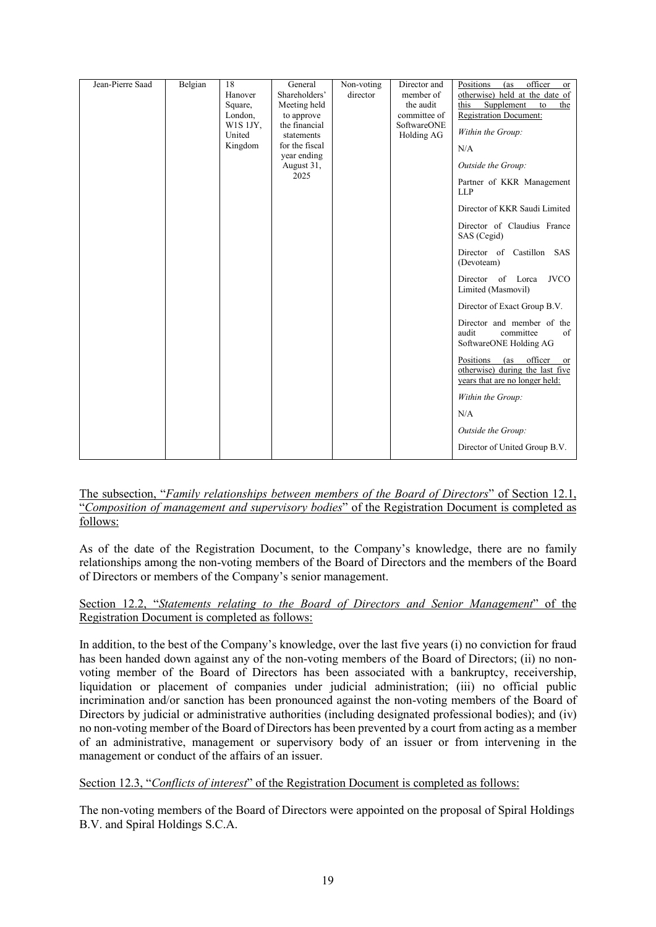### The subsection, "*Family relationships between members of the Board of Directors*" of Section 12.1, "*Composition of management and supervisory bodies*" of the Registration Document is completed as follows:

As of the date of the Registration Document, to the Company's knowledge, there are no family relationships among the non-voting members of the Board of Directors and the members of the Board of Directors or members of the Company's senior management.

### Section 12.2, "*Statements relating to the Board of Directors and Senior Management*" of the Registration Document is completed as follows:

In addition, to the best of the Company's knowledge, over the last five years (i) no conviction for fraud has been handed down against any of the non-voting members of the Board of Directors; (ii) no nonvoting member of the Board of Directors has been associated with a bankruptcy, receivership, liquidation or placement of companies under judicial administration; (iii) no official public incrimination and/or sanction has been pronounced against the non-voting members of the Board of Directors by judicial or administrative authorities (including designated professional bodies); and (iv) no non-voting member of the Board of Directors has been prevented by a court from acting as a member of an administrative, management or supervisory body of an issuer or from intervening in the management or conduct of the affairs of an issuer.

## Section 12.3, "*Conflicts of interest*" of the Registration Document is completed as follows:

The non-voting members of the Board of Directors were appointed on the proposal of Spiral Holdings B.V. and Spiral Holdings S.C.A.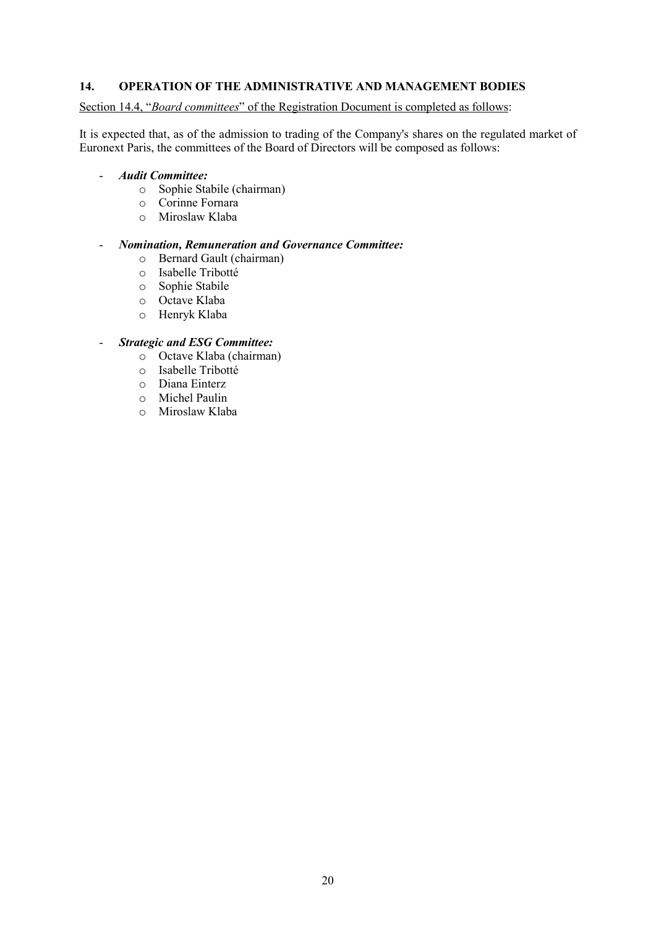### <span id="page-19-0"></span>**14. OPERATION OF THE ADMINISTRATIVE AND MANAGEMENT BODIES**

#### Section 14.4, "*Board committees*" of the Registration Document is completed as follows:

It is expected that, as of the admission to trading of the Company's shares on the regulated market of Euronext Paris, the committees of the Board of Directors will be composed as follows:

#### - *Audit Committee:*

- o Sophie Stabile (chairman)
- o Corinne Fornara
- o Miroslaw Klaba

### - *Nomination, Remuneration and Governance Committee:*

- o Bernard Gault (chairman)
- o Isabelle Tribotté
- o Sophie Stabile
- o Octave Klaba
- o Henryk Klaba

#### - *Strategic and ESG Committee:*

- o Octave Klaba (chairman)
- o Isabelle Tribotté
- o Diana Einterz
- o Michel Paulin
- o Miroslaw Klaba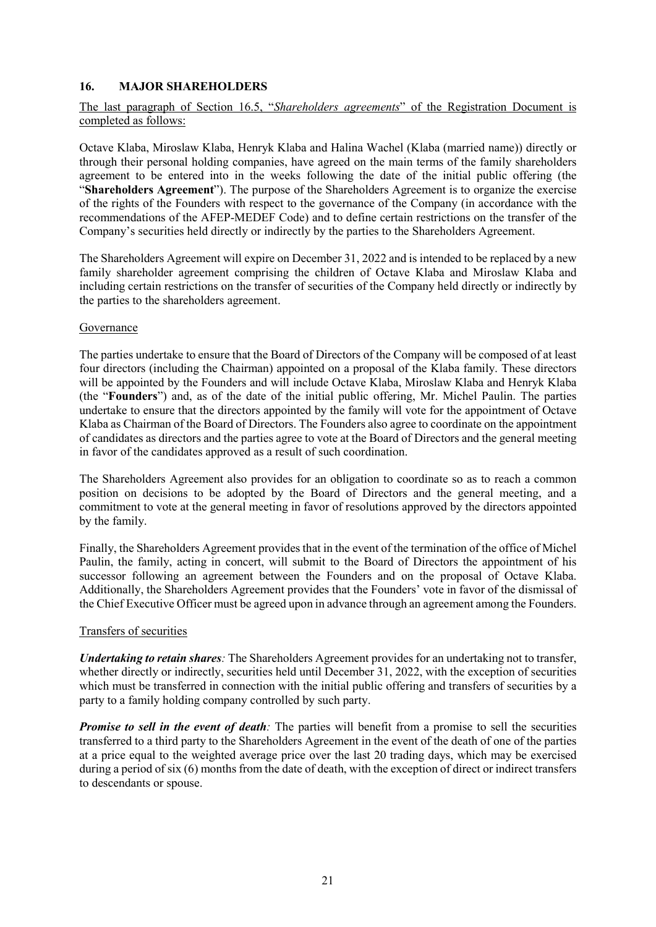### <span id="page-20-0"></span>**16. MAJOR SHAREHOLDERS**

### The last paragraph of Section 16.5, "*Shareholders agreements*" of the Registration Document is completed as follows:

Octave Klaba, Miroslaw Klaba, Henryk Klaba and Halina Wachel (Klaba (married name)) directly or through their personal holding companies, have agreed on the main terms of the family shareholders agreement to be entered into in the weeks following the date of the initial public offering (the "**Shareholders Agreement**"). The purpose of the Shareholders Agreement is to organize the exercise of the rights of the Founders with respect to the governance of the Company (in accordance with the recommendations of the AFEP-MEDEF Code) and to define certain restrictions on the transfer of the Company's securities held directly or indirectly by the parties to the Shareholders Agreement.

The Shareholders Agreement will expire on December 31, 2022 and is intended to be replaced by a new family shareholder agreement comprising the children of Octave Klaba and Miroslaw Klaba and including certain restrictions on the transfer of securities of the Company held directly or indirectly by the parties to the shareholders agreement.

#### Governance

The parties undertake to ensure that the Board of Directors of the Company will be composed of at least four directors (including the Chairman) appointed on a proposal of the Klaba family. These directors will be appointed by the Founders and will include Octave Klaba, Miroslaw Klaba and Henryk Klaba (the "**Founders**") and, as of the date of the initial public offering, Mr. Michel Paulin. The parties undertake to ensure that the directors appointed by the family will vote for the appointment of Octave Klaba as Chairman of the Board of Directors. The Founders also agree to coordinate on the appointment of candidates as directors and the parties agree to vote at the Board of Directors and the general meeting in favor of the candidates approved as a result of such coordination.

The Shareholders Agreement also provides for an obligation to coordinate so as to reach a common position on decisions to be adopted by the Board of Directors and the general meeting, and a commitment to vote at the general meeting in favor of resolutions approved by the directors appointed by the family.

Finally, the Shareholders Agreement provides that in the event of the termination of the office of Michel Paulin, the family, acting in concert, will submit to the Board of Directors the appointment of his successor following an agreement between the Founders and on the proposal of Octave Klaba. Additionally, the Shareholders Agreement provides that the Founders' vote in favor of the dismissal of the Chief Executive Officer must be agreed upon in advance through an agreement among the Founders.

#### Transfers of securities

*Undertaking to retain shares:* The Shareholders Agreement provides for an undertaking not to transfer, whether directly or indirectly, securities held until December 31, 2022, with the exception of securities which must be transferred in connection with the initial public offering and transfers of securities by a party to a family holding company controlled by such party.

*Promise to sell in the event of death*: The parties will benefit from a promise to sell the securities transferred to a third party to the Shareholders Agreement in the event of the death of one of the parties at a price equal to the weighted average price over the last 20 trading days, which may be exercised during a period of six (6) months from the date of death, with the exception of direct or indirect transfers to descendants or spouse.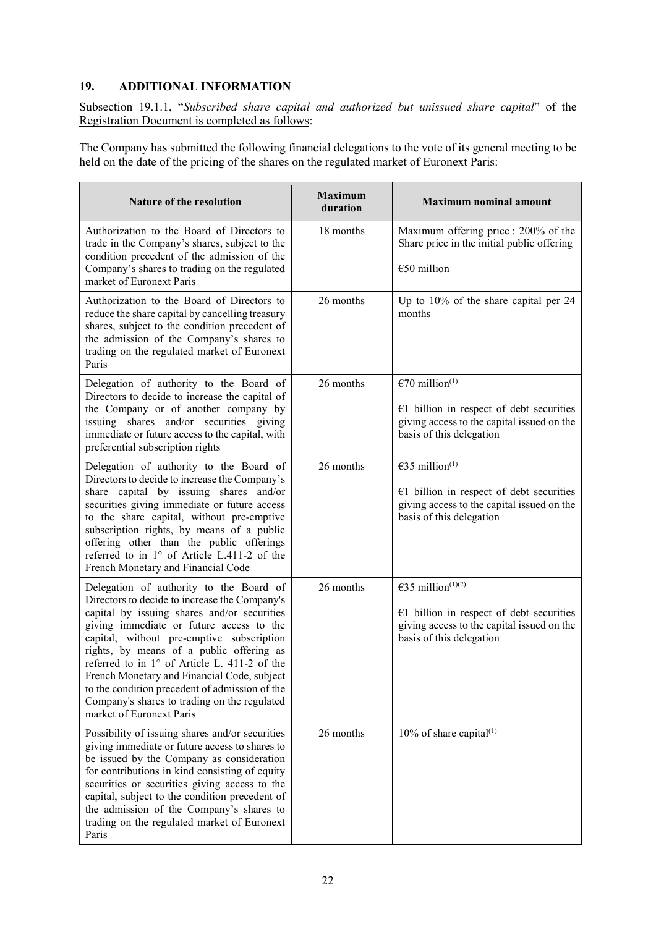# <span id="page-21-0"></span>**19. ADDITIONAL INFORMATION**

Subsection 19.1.1, "*Subscribed share capital and authorized but unissued share capital*" of the Registration Document is completed as follows:

The Company has submitted the following financial delegations to the vote of its general meeting to be held on the date of the pricing of the shares on the regulated market of Euronext Paris:

| Nature of the resolution                                                                                                                                                                                                                                                                                                                                                                                                                                                                                  | <b>Maximum</b><br>duration | <b>Maximum nominal amount</b>                                                                                                                         |
|-----------------------------------------------------------------------------------------------------------------------------------------------------------------------------------------------------------------------------------------------------------------------------------------------------------------------------------------------------------------------------------------------------------------------------------------------------------------------------------------------------------|----------------------------|-------------------------------------------------------------------------------------------------------------------------------------------------------|
| Authorization to the Board of Directors to<br>trade in the Company's shares, subject to the<br>condition precedent of the admission of the<br>Company's shares to trading on the regulated<br>market of Euronext Paris                                                                                                                                                                                                                                                                                    | 18 months                  | Maximum offering price : 200% of the<br>Share price in the initial public offering<br>$€50$ million                                                   |
| Authorization to the Board of Directors to<br>reduce the share capital by cancelling treasury<br>shares, subject to the condition precedent of<br>the admission of the Company's shares to<br>trading on the regulated market of Euronext<br>Paris                                                                                                                                                                                                                                                        | 26 months                  | Up to 10% of the share capital per 24<br>months                                                                                                       |
| Delegation of authority to the Board of<br>Directors to decide to increase the capital of<br>the Company or of another company by<br>issuing shares and/or securities giving<br>immediate or future access to the capital, with<br>preferential subscription rights                                                                                                                                                                                                                                       | 26 months                  | €70 million <sup>(1)</sup><br>$E1$ billion in respect of debt securities<br>giving access to the capital issued on the<br>basis of this delegation    |
| Delegation of authority to the Board of<br>Directors to decide to increase the Company's<br>share capital by issuing shares and/or<br>securities giving immediate or future access<br>to the share capital, without pre-emptive<br>subscription rights, by means of a public<br>offering other than the public offerings<br>referred to in 1° of Article L.411-2 of the<br>French Monetary and Financial Code                                                                                             | 26 months                  | €35 million <sup>(1)</sup><br>$E1$ billion in respect of debt securities<br>giving access to the capital issued on the<br>basis of this delegation    |
| Delegation of authority to the Board of<br>Directors to decide to increase the Company's<br>capital by issuing shares and/or securities<br>giving immediate or future access to the<br>capital, without pre-emptive subscription<br>rights, by means of a public offering as<br>referred to in 1° of Article L. 411-2 of the<br>French Monetary and Financial Code, subject<br>to the condition precedent of admission of the<br>Company's shares to trading on the regulated<br>market of Euronext Paris | 26 months                  | €35 million <sup>(1)(2)</sup><br>$E1$ billion in respect of debt securities<br>giving access to the capital issued on the<br>basis of this delegation |
| Possibility of issuing shares and/or securities<br>giving immediate or future access to shares to<br>be issued by the Company as consideration<br>for contributions in kind consisting of equity<br>securities or securities giving access to the<br>capital, subject to the condition precedent of<br>the admission of the Company's shares to<br>trading on the regulated market of Euronext<br>Paris                                                                                                   | 26 months                  | $10\%$ of share capital <sup>(1)</sup>                                                                                                                |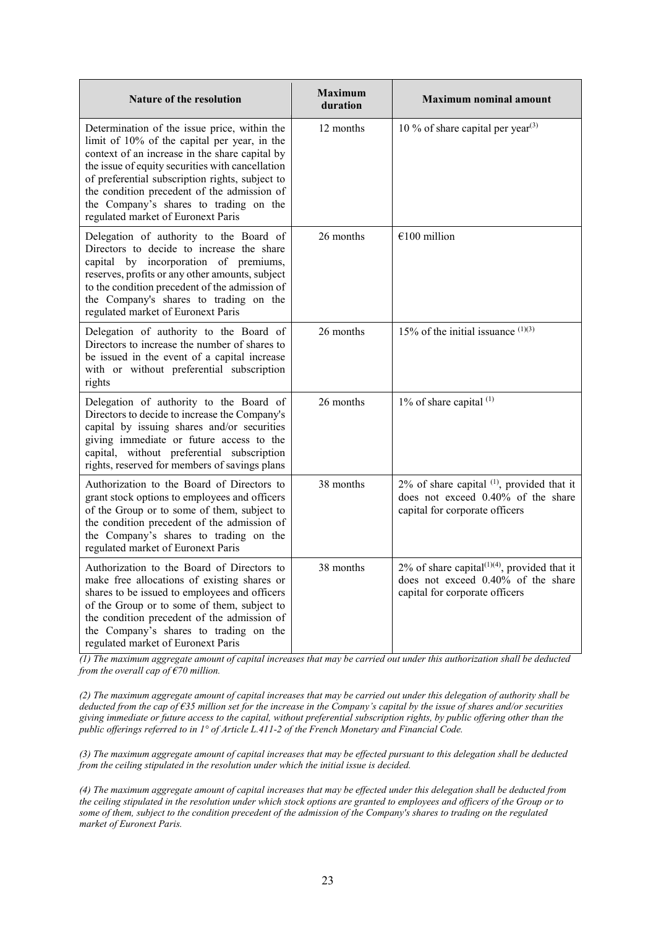| <b>Nature of the resolution</b>                                                                                                                                                                                                                                                                                                                                                      | <b>Maximum</b><br>duration | <b>Maximum nominal amount</b>                                                                                           |
|--------------------------------------------------------------------------------------------------------------------------------------------------------------------------------------------------------------------------------------------------------------------------------------------------------------------------------------------------------------------------------------|----------------------------|-------------------------------------------------------------------------------------------------------------------------|
| Determination of the issue price, within the<br>limit of 10% of the capital per year, in the<br>context of an increase in the share capital by<br>the issue of equity securities with cancellation<br>of preferential subscription rights, subject to<br>the condition precedent of the admission of<br>the Company's shares to trading on the<br>regulated market of Euronext Paris | 12 months                  | 10 % of share capital per year <sup>(3)</sup>                                                                           |
| Delegation of authority to the Board of<br>Directors to decide to increase the share<br>capital by incorporation of premiums,<br>reserves, profits or any other amounts, subject<br>to the condition precedent of the admission of<br>the Company's shares to trading on the<br>regulated market of Euronext Paris                                                                   | 26 months                  | $€100$ million                                                                                                          |
| Delegation of authority to the Board of<br>Directors to increase the number of shares to<br>be issued in the event of a capital increase<br>with or without preferential subscription<br>rights                                                                                                                                                                                      | 26 months                  | 15% of the initial issuance $(1)(3)$                                                                                    |
| Delegation of authority to the Board of<br>Directors to decide to increase the Company's<br>capital by issuing shares and/or securities<br>giving immediate or future access to the<br>capital, without preferential subscription<br>rights, reserved for members of savings plans                                                                                                   | 26 months                  | 1% of share capital (1)                                                                                                 |
| Authorization to the Board of Directors to<br>grant stock options to employees and officers<br>of the Group or to some of them, subject to<br>the condition precedent of the admission of<br>the Company's shares to trading on the<br>regulated market of Euronext Paris                                                                                                            | 38 months                  | 2% of share capital (1), provided that it<br>does not exceed 0.40% of the share<br>capital for corporate officers       |
| Authorization to the Board of Directors to<br>make free allocations of existing shares or<br>shares to be issued to employees and officers<br>of the Group or to some of them, subject to<br>the condition precedent of the admission of<br>the Company's shares to trading on the<br>regulated market of Euronext Paris                                                             | 38 months                  | 2% of share capital $(1)(4)$ , provided that it<br>does not exceed 0.40% of the share<br>capital for corporate officers |

*(1) The maximum aggregate amount of capital increases that may be carried out under this authorization shall be deducted from the overall cap of €70 million.* 

*(2) The maximum aggregate amount of capital increases that may be carried out under this delegation of authority shall be deducted from the cap of €35 million set for the increase in the Company's capital by the issue of shares and/or securities giving immediate or future access to the capital, without preferential subscription rights, by public offering other than the public offerings referred to in 1° of Article L.411-2 of the French Monetary and Financial Code.*

*(3) The maximum aggregate amount of capital increases that may be effected pursuant to this delegation shall be deducted from the ceiling stipulated in the resolution under which the initial issue is decided.* 

*(4) The maximum aggregate amount of capital increases that may be effected under this delegation shall be deducted from the ceiling stipulated in the resolution under which stock options are granted to employees and officers of the Group or to some of them, subject to the condition precedent of the admission of the Company's shares to trading on the regulated market of Euronext Paris.*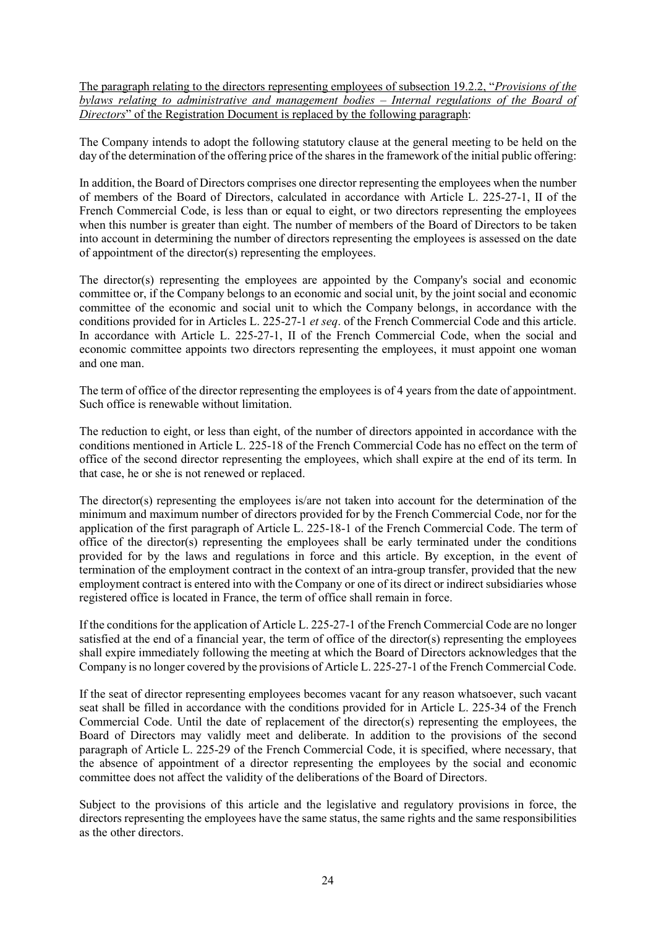The paragraph relating to the directors representing employees of subsection 19.2.2, "*Provisions of the bylaws relating to administrative and management bodies – Internal regulations of the Board of Directors*" of the Registration Document is replaced by the following paragraph:

The Company intends to adopt the following statutory clause at the general meeting to be held on the day of the determination of the offering price of the shares in the framework of the initial public offering:

In addition, the Board of Directors comprises one director representing the employees when the number of members of the Board of Directors, calculated in accordance with Article L. 225-27-1, II of the French Commercial Code, is less than or equal to eight, or two directors representing the employees when this number is greater than eight. The number of members of the Board of Directors to be taken into account in determining the number of directors representing the employees is assessed on the date of appointment of the director(s) representing the employees.

The director(s) representing the employees are appointed by the Company's social and economic committee or, if the Company belongs to an economic and social unit, by the joint social and economic committee of the economic and social unit to which the Company belongs, in accordance with the conditions provided for in Articles L. 225-27-1 *et seq*. of the French Commercial Code and this article. In accordance with Article L. 225-27-1, II of the French Commercial Code, when the social and economic committee appoints two directors representing the employees, it must appoint one woman and one man.

The term of office of the director representing the employees is of 4 years from the date of appointment. Such office is renewable without limitation.

The reduction to eight, or less than eight, of the number of directors appointed in accordance with the conditions mentioned in Article L. 225-18 of the French Commercial Code has no effect on the term of office of the second director representing the employees, which shall expire at the end of its term. In that case, he or she is not renewed or replaced.

The director(s) representing the employees is/are not taken into account for the determination of the minimum and maximum number of directors provided for by the French Commercial Code, nor for the application of the first paragraph of Article L. 225-18-1 of the French Commercial Code. The term of office of the director(s) representing the employees shall be early terminated under the conditions provided for by the laws and regulations in force and this article. By exception, in the event of termination of the employment contract in the context of an intra-group transfer, provided that the new employment contract is entered into with the Company or one of its direct or indirect subsidiaries whose registered office is located in France, the term of office shall remain in force.

If the conditions for the application of Article L. 225-27-1 of the French Commercial Code are no longer satisfied at the end of a financial year, the term of office of the director(s) representing the employees shall expire immediately following the meeting at which the Board of Directors acknowledges that the Company is no longer covered by the provisions of Article L. 225-27-1 of the French Commercial Code.

If the seat of director representing employees becomes vacant for any reason whatsoever, such vacant seat shall be filled in accordance with the conditions provided for in Article L. 225-34 of the French Commercial Code. Until the date of replacement of the director(s) representing the employees, the Board of Directors may validly meet and deliberate. In addition to the provisions of the second paragraph of Article L. 225-29 of the French Commercial Code, it is specified, where necessary, that the absence of appointment of a director representing the employees by the social and economic committee does not affect the validity of the deliberations of the Board of Directors.

Subject to the provisions of this article and the legislative and regulatory provisions in force, the directors representing the employees have the same status, the same rights and the same responsibilities as the other directors.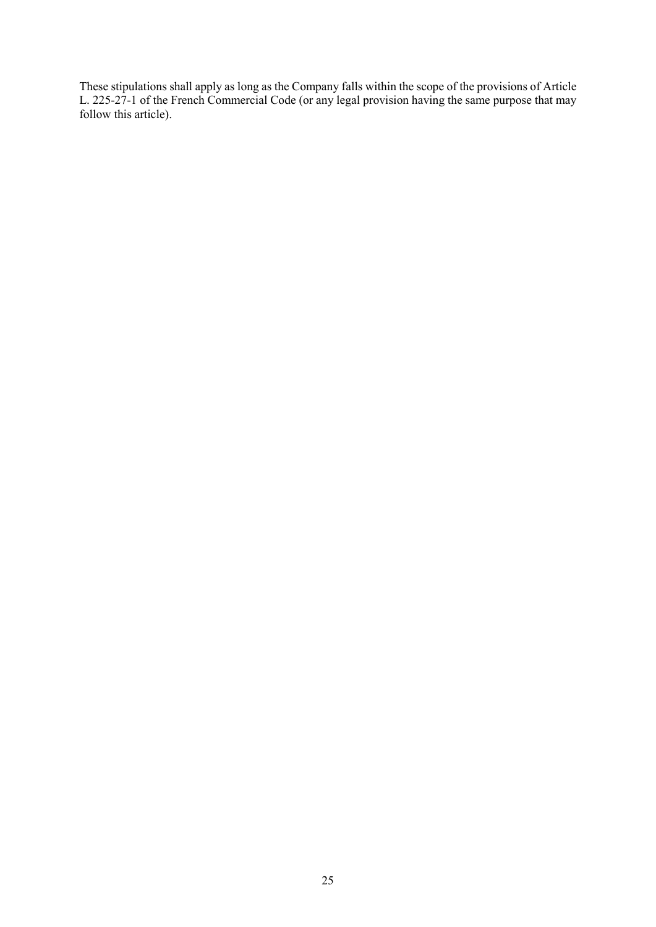These stipulations shall apply as long as the Company falls within the scope of the provisions of Article L. 225-27-1 of the French Commercial Code (or any legal provision having the same purpose that may follow this article).